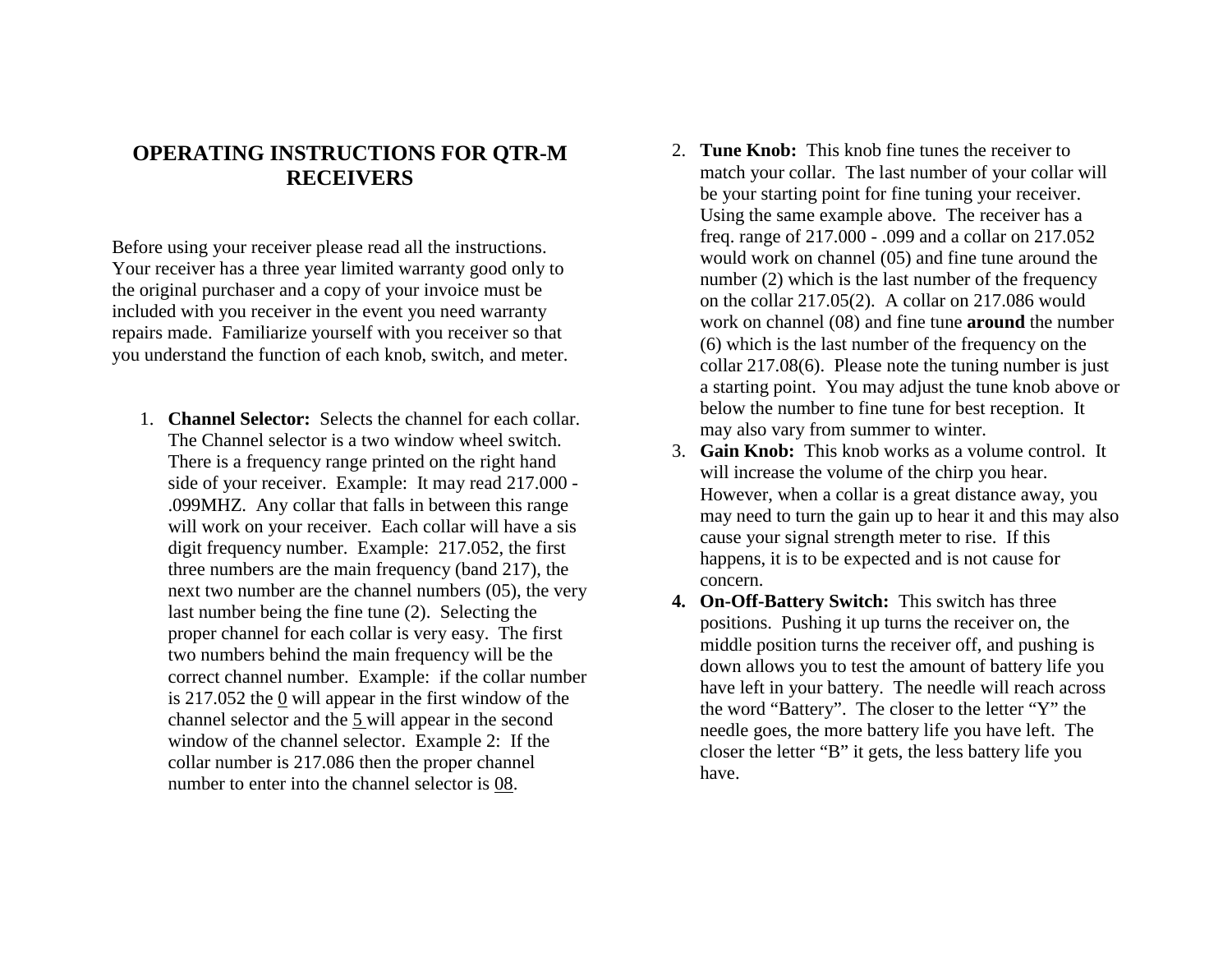## **OPERATING INSTRUCTIONS FOR QTR-M RECEIVERS**

Before using your receiver please read all the instructions. Your receiver has a three year limited warranty good only to the original purchaser and a copy of your invoice must be included with you receiver in the event you need warranty repairs made. Familiarize yourself with you receiver so that you understand the function of each knob, switch, and meter.

- 1. **Channel Selector:** Selects the channel for each collar. The Channel selector is a two window wheel switch. There is a frequency range printed on the right hand side of your receiver. Example: It may read 217.000 - .099MHZ. Any collar that falls in between this range will work on your receiver. Each collar will have a sis digit frequency number. Example: 217.052, the first three numbers are the main frequency (band 217), the next two number are the channel numbers (05), the very last number being the fine tune (2). Selecting the proper channel for each collar is very easy. The first two numbers behind the main frequency will be the correct channel number. Example: if the collar number is 217.052 the  $\overline{0}$  will appear in the first window of the channel selector and the 5 will appear in the second window of the channel selector. Example 2: If the collar number is 217.086 then the proper channel number to enter into the channel selector is 08.
- 2. **Tune Knob:** This knob fine tunes the receiver to match your collar. The last number of your collar will be your starting point for fine tuning your receiver. Using the same example above. The receiver has a freq. range of 217.000 - .099 and a collar on 217.052 would work on channel (05) and fine tune around the number (2) which is the last number of the frequency on the collar 217.05(2). A collar on 217.086 would work on channel (08) and fine tune **around** the number (6) which is the last number of the frequency on the collar 217.08(6). Please note the tuning number is just a starting point. You may adjust the tune knob above or below the number to fine tune for best reception. It may also vary from summer to winter.
- 3. **Gain Knob:** This knob works as a volume control. It will increase the volume of the chirp you hear. However, when a collar is a great distance away, you may need to turn the gain up to hear it and this may also cause your signal strength meter to rise. If this happens, it is to be expected and is not cause for concern.
- **4. On-Off-Battery Switch:** This switch has three positions. Pushing it up turns the receiver on, the middle position turns the receiver off, and pushing is down allows you to test the amount of battery life you have left in your battery. The needle will reach across the word "Battery". The closer to the letter "Y" the needle goes, the more battery life you have left. The closer the letter "B" it gets, the less battery life you have.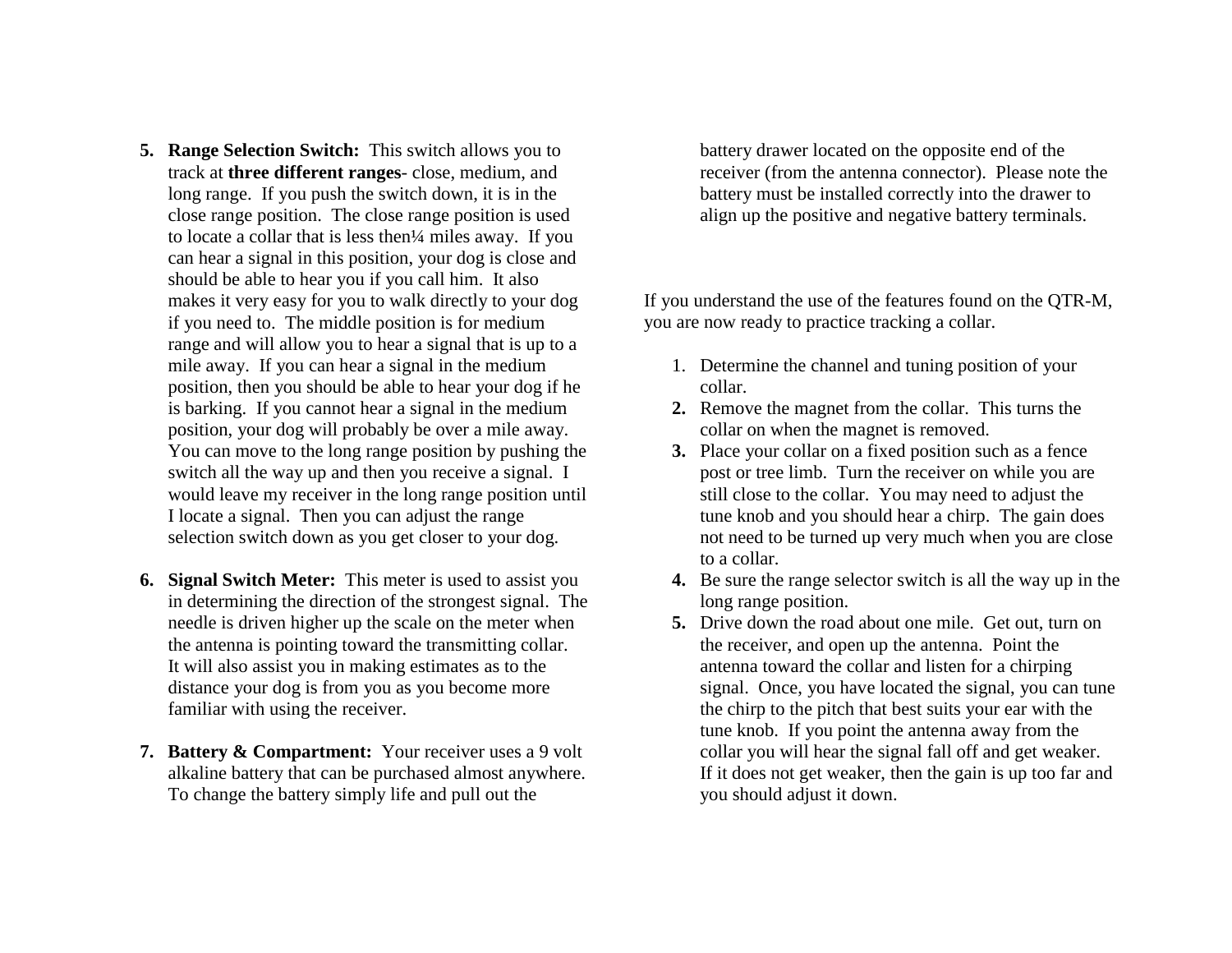- **5. Range Selection Switch:** This switch allows you to track at **three different ranges**- close, medium, and long range. If you push the switch down, it is in the close range position. The close range position is used to locate a collar that is less then¼ miles away. If you can hear a signal in this position, your dog is close and should be able to hear you if you call him. It also makes it very easy for you to walk directly to your dog if you need to. The middle position is for medium range and will allow you to hear a signal that is up to a mile away. If you can hear a signal in the medium position, then you should be able to hear your dog if he is barking. If you cannot hear a signal in the medium position, your dog will probably be over a mile away. You can move to the long range position by pushing the switch all the way up and then you receive a signal. I would leave my receiver in the long range position until I locate a signal. Then you can adjust the range selection switch down as you get closer to your dog.
- **6. Signal Switch Meter:** This meter is used to assist you in determining the direction of the strongest signal. The needle is driven higher up the scale on the meter when the antenna is pointing toward the transmitting collar. It will also assist you in making estimates as to the distance your dog is from you as you become more familiar with using the receiver.
- **7. Battery & Compartment:** Your receiver uses a 9 volt alkaline battery that can be purchased almost anywhere. To change the battery simply life and pull out the

battery drawer located on the opposite end of the receiver (from the antenna connector). Please note the battery must be installed correctly into the drawer to align up the positive and negative battery terminals.

If you understand the use of the features found on the QTR-M, you are now ready to practice tracking a collar.

- 1. Determine the channel and tuning position of your collar.
- **2.** Remove the magnet from the collar. This turns the collar on when the magnet is removed.
- **3.** Place your collar on a fixed position such as a fence post or tree limb. Turn the receiver on while you are still close to the collar. You may need to adjust the tune knob and you should hear a chirp. The gain does not need to be turned up very much when you are close to a collar.
- **4.** Be sure the range selector switch is all the way up in the long range position.
- **5.** Drive down the road about one mile. Get out, turn on the receiver, and open up the antenna. Point the antenna toward the collar and listen for a chirping signal. Once, you have located the signal, you can tune the chirp to the pitch that best suits your ear with the tune knob. If you point the antenna away from the collar you will hear the signal fall off and get weaker. If it does not get weaker, then the gain is up too far and you should adjust it down.